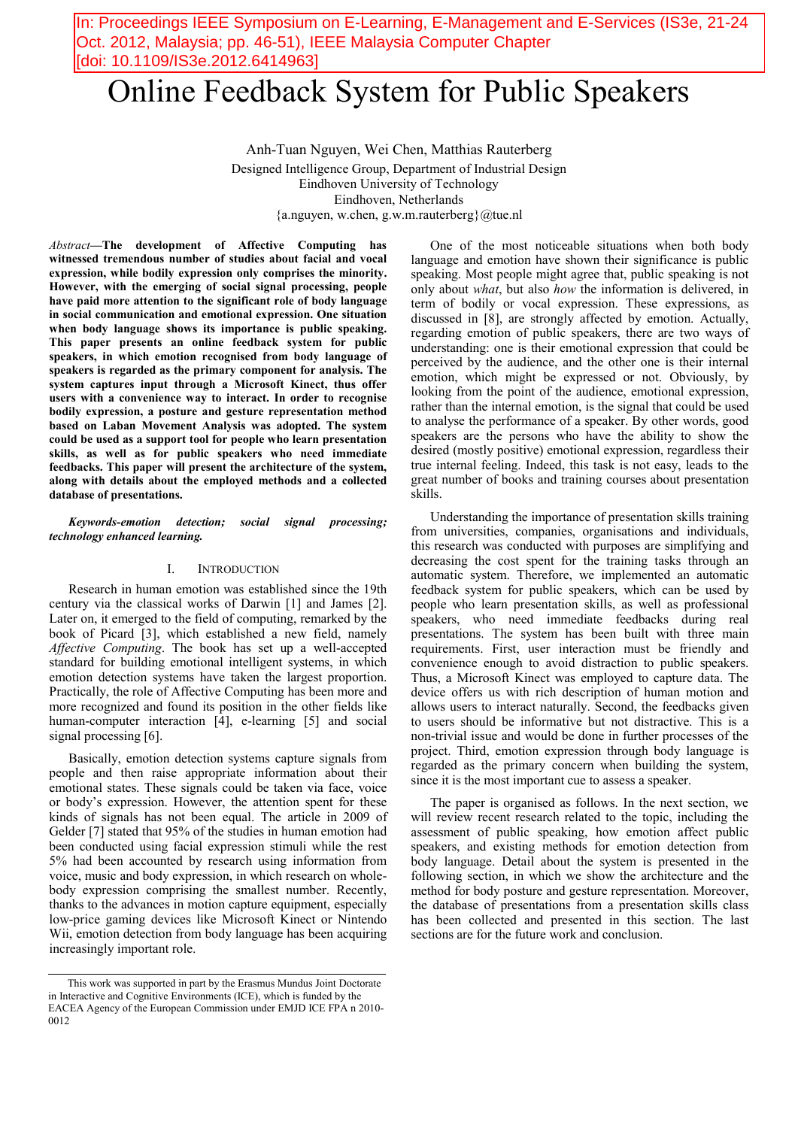In: Proceedings IEEE Symposium on E-Learning, E-Management and E-Services (IS3e, 21-24 Oct. 2012, Malaysia; pp. 46-51), IEEE Malaysia Computer Chapter [doi: 10.1109/IS3e.2012.6414963]

### Online Feedback System for Public Speakers

Anh-Tuan Nguyen, Wei Chen, Matthias Rauterberg Designed Intelligence Group, Department of Industrial Design Eindhoven University of Technology Eindhoven, Netherlands {a.nguyen, w.chen, g.w.m.rauterberg}@tue.nl

*Abstract***—The development of Affective Computing has witnessed tremendous number of studies about facial and vocal expression, while bodily expression only comprises the minority. However, with the emerging of social signal processing, people have paid more attention to the significant role of body language in social communication and emotional expression. One situation when body language shows its importance is public speaking. This paper presents an online feedback system for public speakers, in which emotion recognised from body language of speakers is regarded as the primary component for analysis. The system captures input through a Microsoft Kinect, thus offer users with a convenience way to interact. In order to recognise bodily expression, a posture and gesture representation method based on Laban Movement Analysis was adopted. The system could be used as a support tool for people who learn presentation skills, as well as for public speakers who need immediate feedbacks. This paper will present the architecture of the system, along with details about the employed methods and a collected database of presentations.** 

#### *Keywords-emotion detection; social signal processing; technology enhanced learning.*

#### I. INTRODUCTION

Research in human emotion was established since the 19th century via the classical works of Darwin [1] and James [2]. Later on, it emerged to the field of computing, remarked by the book of Picard [3], which established a new field, namely *Affective Computing*. The book has set up a well-accepted standard for building emotional intelligent systems, in which emotion detection systems have taken the largest proportion. Practically, the role of Affective Computing has been more and more recognized and found its position in the other fields like human-computer interaction [4], e-learning [5] and social signal processing [6].

Basically, emotion detection systems capture signals from people and then raise appropriate information about their emotional states. These signals could be taken via face, voice or body's expression. However, the attention spent for these kinds of signals has not been equal. The article in 2009 of Gelder [7] stated that 95% of the studies in human emotion had been conducted using facial expression stimuli while the rest 5% had been accounted by research using information from voice, music and body expression, in which research on wholebody expression comprising the smallest number. Recently, thanks to the advances in motion capture equipment, especially low-price gaming devices like Microsoft Kinect or Nintendo Wii, emotion detection from body language has been acquiring increasingly important role.

One of the most noticeable situations when both body language and emotion have shown their significance is public speaking. Most people might agree that, public speaking is not only about *what*, but also *how* the information is delivered, in term of bodily or vocal expression. These expressions, as discussed in [8], are strongly affected by emotion. Actually, regarding emotion of public speakers, there are two ways of understanding: one is their emotional expression that could be perceived by the audience, and the other one is their internal emotion, which might be expressed or not. Obviously, by looking from the point of the audience, emotional expression, rather than the internal emotion, is the signal that could be used to analyse the performance of a speaker. By other words, good speakers are the persons who have the ability to show the desired (mostly positive) emotional expression, regardless their true internal feeling. Indeed, this task is not easy, leads to the great number of books and training courses about presentation skills.

Understanding the importance of presentation skills training from universities, companies, organisations and individuals, this research was conducted with purposes are simplifying and decreasing the cost spent for the training tasks through an automatic system. Therefore, we implemented an automatic feedback system for public speakers, which can be used by people who learn presentation skills, as well as professional speakers, who need immediate feedbacks during real presentations. The system has been built with three main requirements. First, user interaction must be friendly and convenience enough to avoid distraction to public speakers. Thus, a Microsoft Kinect was employed to capture data. The device offers us with rich description of human motion and allows users to interact naturally. Second, the feedbacks given to users should be informative but not distractive. This is a non-trivial issue and would be done in further processes of the project. Third, emotion expression through body language is regarded as the primary concern when building the system, since it is the most important cue to assess a speaker.

The paper is organised as follows. In the next section, we will review recent research related to the topic, including the assessment of public speaking, how emotion affect public speakers, and existing methods for emotion detection from body language. Detail about the system is presented in the following section, in which we show the architecture and the method for body posture and gesture representation. Moreover, the database of presentations from a presentation skills class has been collected and presented in this section. The last sections are for the future work and conclusion.

This work was supported in part by the Erasmus Mundus Joint Doctorate in Interactive and Cognitive Environments (ICE), which is funded by the EACEA Agency of the European Commission under EMJD ICE FPA n 2010- 0012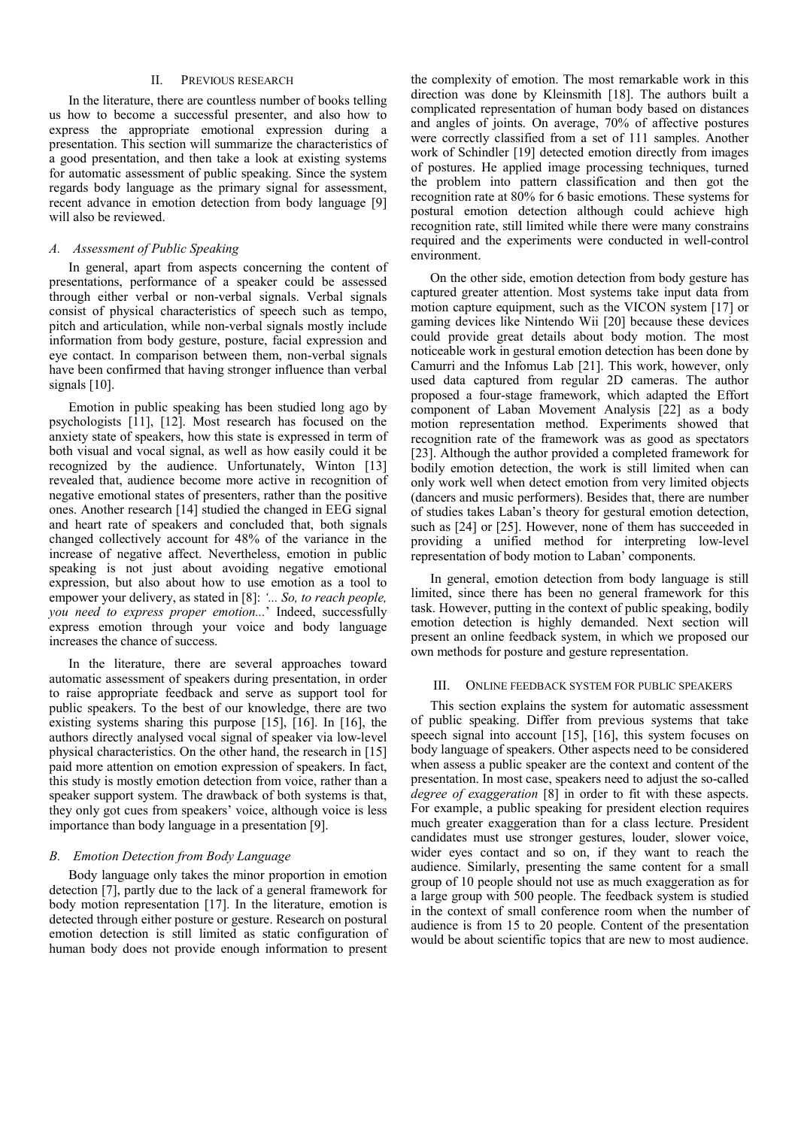#### II. PREVIOUS RESEARCH

In the literature, there are countless number of books telling us how to become a successful presenter, and also how to express the appropriate emotional expression during a presentation. This section will summarize the characteristics of a good presentation, and then take a look at existing systems for automatic assessment of public speaking. Since the system regards body language as the primary signal for assessment, recent advance in emotion detection from body language [9] will also be reviewed.

#### *A. Assessment of Public Speaking*

In general, apart from aspects concerning the content of presentations, performance of a speaker could be assessed through either verbal or non-verbal signals. Verbal signals consist of physical characteristics of speech such as tempo, pitch and articulation, while non-verbal signals mostly include information from body gesture, posture, facial expression and eye contact. In comparison between them, non-verbal signals have been confirmed that having stronger influence than verbal signals [10].

Emotion in public speaking has been studied long ago by psychologists [11], [12]. Most research has focused on the anxiety state of speakers, how this state is expressed in term of both visual and vocal signal, as well as how easily could it be recognized by the audience. Unfortunately, Winton [13] revealed that, audience become more active in recognition of negative emotional states of presenters, rather than the positive ones. Another research [14] studied the changed in EEG signal and heart rate of speakers and concluded that, both signals changed collectively account for 48% of the variance in the increase of negative affect. Nevertheless, emotion in public speaking is not just about avoiding negative emotional expression, but also about how to use emotion as a tool to empower your delivery, as stated in [8]: *'... So, to reach people, you need to express proper emotion...*' Indeed, successfully express emotion through your voice and body language increases the chance of success.

In the literature, there are several approaches toward automatic assessment of speakers during presentation, in order to raise appropriate feedback and serve as support tool for public speakers. To the best of our knowledge, there are two existing systems sharing this purpose [15], [16]. In [16], the authors directly analysed vocal signal of speaker via low-level physical characteristics. On the other hand, the research in [15] paid more attention on emotion expression of speakers. In fact, this study is mostly emotion detection from voice, rather than a speaker support system. The drawback of both systems is that, they only got cues from speakers' voice, although voice is less importance than body language in a presentation [9].

#### *B. Emotion Detection from Body Language*

Body language only takes the minor proportion in emotion detection [7], partly due to the lack of a general framework for body motion representation [17]. In the literature, emotion is detected through either posture or gesture. Research on postural emotion detection is still limited as static configuration of human body does not provide enough information to present

the complexity of emotion. The most remarkable work in this direction was done by Kleinsmith [18]. The authors built a complicated representation of human body based on distances and angles of joints. On average, 70% of affective postures were correctly classified from a set of 111 samples. Another work of Schindler [19] detected emotion directly from images of postures. He applied image processing techniques, turned the problem into pattern classification and then got the recognition rate at 80% for 6 basic emotions. These systems for postural emotion detection although could achieve high recognition rate, still limited while there were many constrains required and the experiments were conducted in well-control environment.

On the other side, emotion detection from body gesture has captured greater attention. Most systems take input data from motion capture equipment, such as the VICON system [17] or gaming devices like Nintendo Wii [20] because these devices could provide great details about body motion. The most noticeable work in gestural emotion detection has been done by Camurri and the Infomus Lab [21]. This work, however, only used data captured from regular 2D cameras. The author proposed a four-stage framework, which adapted the Effort component of Laban Movement Analysis [22] as a body motion representation method. Experiments showed that recognition rate of the framework was as good as spectators [23]. Although the author provided a completed framework for bodily emotion detection, the work is still limited when can only work well when detect emotion from very limited objects (dancers and music performers). Besides that, there are number of studies takes Laban's theory for gestural emotion detection, such as [24] or [25]. However, none of them has succeeded in providing a unified method for interpreting low-level representation of body motion to Laban' components.

In general, emotion detection from body language is still limited, since there has been no general framework for this task. However, putting in the context of public speaking, bodily emotion detection is highly demanded. Next section will present an online feedback system, in which we proposed our own methods for posture and gesture representation.

#### III. ONLINE FEEDBACK SYSTEM FOR PUBLIC SPEAKERS

This section explains the system for automatic assessment of public speaking. Differ from previous systems that take speech signal into account [15], [16], this system focuses on body language of speakers. Other aspects need to be considered when assess a public speaker are the context and content of the presentation. In most case, speakers need to adjust the so-called *degree of exaggeration* [8] in order to fit with these aspects. For example, a public speaking for president election requires much greater exaggeration than for a class lecture. President candidates must use stronger gestures, louder, slower voice, wider eyes contact and so on, if they want to reach the audience. Similarly, presenting the same content for a small group of 10 people should not use as much exaggeration as for a large group with 500 people. The feedback system is studied in the context of small conference room when the number of audience is from 15 to 20 people. Content of the presentation would be about scientific topics that are new to most audience.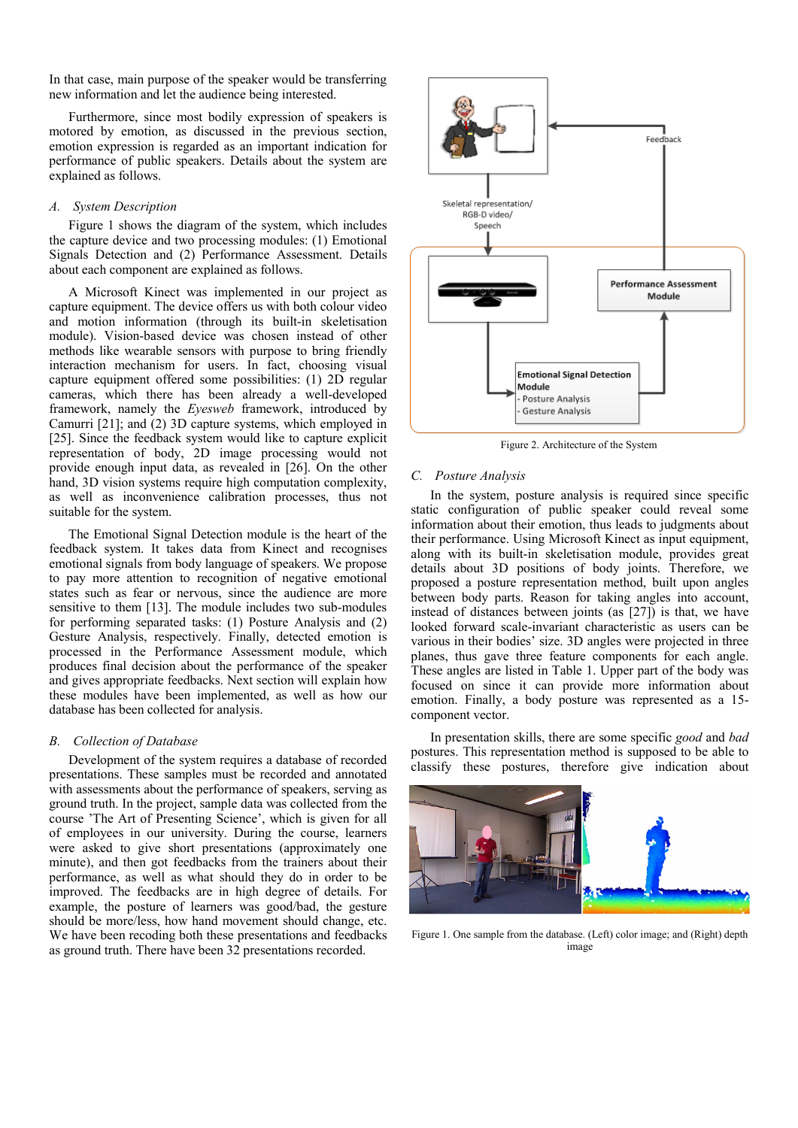In that case, main purpose of the speaker would be transferring new information and let the audience being interested.

Furthermore, since most bodily expression of speakers is motored by emotion, as discussed in the previous section, emotion expression is regarded as an important indication for performance of public speakers. Details about the system are explained as follows.

#### *A. System Description*

Figure 1 shows the diagram of the system, which includes the capture device and two processing modules: (1) Emotional Signals Detection and (2) Performance Assessment. Details about each component are explained as follows.

A Microsoft Kinect was implemented in our project as capture equipment. The device offers us with both colour video and motion information (through its built-in skeletisation module). Vision-based device was chosen instead of other methods like wearable sensors with purpose to bring friendly interaction mechanism for users. In fact, choosing visual capture equipment offered some possibilities: (1) 2D regular cameras, which there has been already a well-developed framework, namely the *Eyesweb* framework, introduced by Camurri [21]; and (2) 3D capture systems, which employed in [25]. Since the feedback system would like to capture explicit representation of body, 2D image processing would not provide enough input data, as revealed in [26]. On the other hand, 3D vision systems require high computation complexity, as well as inconvenience calibration processes, thus not suitable for the system.

The Emotional Signal Detection module is the heart of the feedback system. It takes data from Kinect and recognises emotional signals from body language of speakers. We propose to pay more attention to recognition of negative emotional states such as fear or nervous, since the audience are more sensitive to them [13]. The module includes two sub-modules for performing separated tasks: (1) Posture Analysis and (2) Gesture Analysis, respectively. Finally, detected emotion is processed in the Performance Assessment module, which produces final decision about the performance of the speaker and gives appropriate feedbacks. Next section will explain how these modules have been implemented, as well as how our database has been collected for analysis.

#### *B. Collection of Database*

Development of the system requires a database of recorded presentations. These samples must be recorded and annotated with assessments about the performance of speakers, serving as ground truth. In the project, sample data was collected from the course 'The Art of Presenting Science', which is given for all of employees in our university. During the course, learners were asked to give short presentations (approximately one minute), and then got feedbacks from the trainers about their performance, as well as what should they do in order to be improved. The feedbacks are in high degree of details. For example, the posture of learners was good/bad, the gesture should be more/less, how hand movement should change, etc. We have been recoding both these presentations and feedbacks as ground truth. There have been 32 presentations recorded.



Figure 2. Architecture of the System

#### *C. Posture Analysis*

In the system, posture analysis is required since specific static configuration of public speaker could reveal some information about their emotion, thus leads to judgments about their performance. Using Microsoft Kinect as input equipment, along with its built-in skeletisation module, provides great details about 3D positions of body joints. Therefore, we proposed a posture representation method, built upon angles between body parts. Reason for taking angles into account, instead of distances between joints (as [27]) is that, we have looked forward scale-invariant characteristic as users can be various in their bodies' size. 3D angles were projected in three planes, thus gave three feature components for each angle. These angles are listed in Table 1. Upper part of the body was focused on since it can provide more information about emotion. Finally, a body posture was represented as a 15 component vector.

In presentation skills, there are some specific *good* and *bad* postures. This representation method is supposed to be able to classify these postures, therefore give indication about



Figure 1. One sample from the database. (Left) color image; and (Right) depth image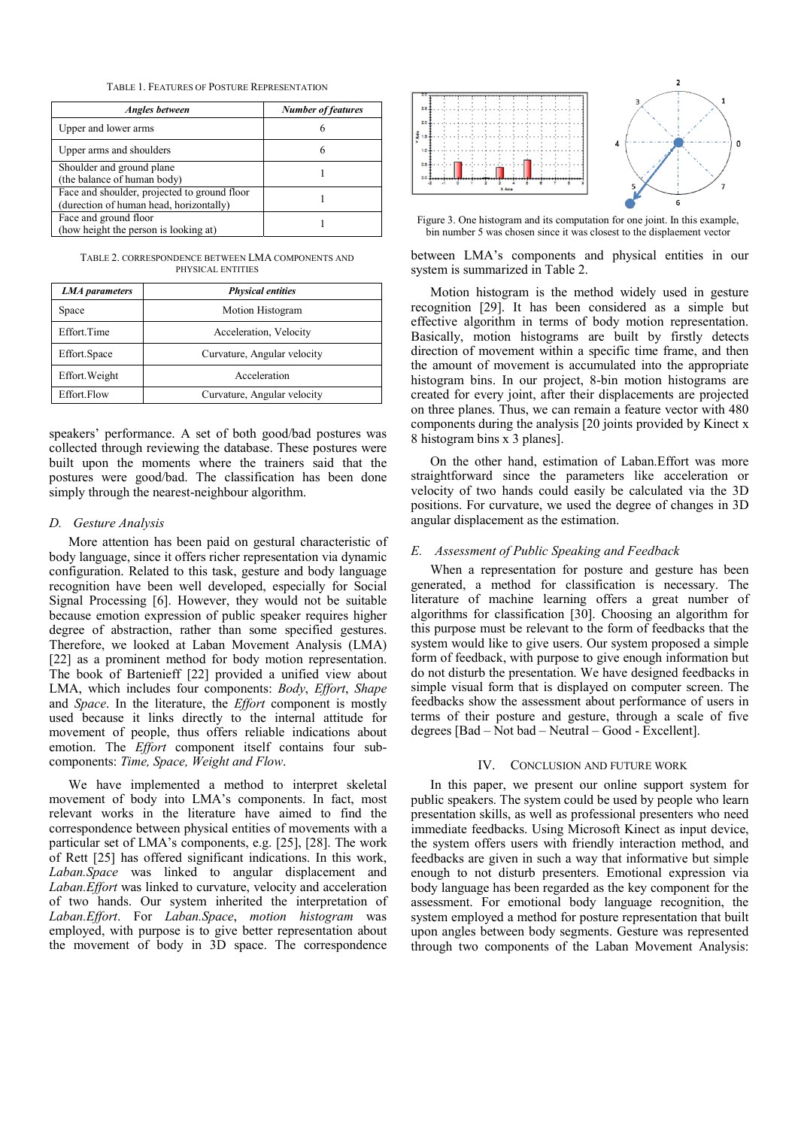#### TABLE 1. FEATURES OF POSTURE REPRESENTATION

| <b>Angles between</b>                                                                   | <b>Number of features</b> |  |
|-----------------------------------------------------------------------------------------|---------------------------|--|
| Upper and lower arms                                                                    | 6                         |  |
| Upper arms and shoulders                                                                | 6                         |  |
| Shoulder and ground plane<br>(the balance of human body)                                |                           |  |
| Face and shoulder, projected to ground floor<br>(durection of human head, horizontally) |                           |  |
| Face and ground floor<br>(how height the person is looking at)                          |                           |  |

TABLE 2. CORRESPONDENCE BETWEEN LMA COMPONENTS AND PHYSICAL ENTITIES

| <b>LMA</b> parameters | <b>Physical entities</b>    |
|-----------------------|-----------------------------|
| Space                 | Motion Histogram            |
| Effort.Time           | Acceleration, Velocity      |
| Effort.Space          | Curvature, Angular velocity |
| Effort. Weight        | Acceleration                |
| Effort.Flow           | Curvature, Angular velocity |

speakers' performance. A set of both good/bad postures was collected through reviewing the database. These postures were built upon the moments where the trainers said that the postures were good/bad. The classification has been done simply through the nearest-neighbour algorithm.

#### *D. Gesture Analysis*

More attention has been paid on gestural characteristic of body language, since it offers richer representation via dynamic configuration. Related to this task, gesture and body language recognition have been well developed, especially for Social Signal Processing [6]. However, they would not be suitable because emotion expression of public speaker requires higher degree of abstraction, rather than some specified gestures. Therefore, we looked at Laban Movement Analysis (LMA) [22] as a prominent method for body motion representation. The book of Bartenieff [22] provided a unified view about LMA, which includes four components: *Body*, *Effort*, *Shape* and *Space*. In the literature, the *Effort* component is mostly used because it links directly to the internal attitude for movement of people, thus offers reliable indications about emotion. The *Effort* component itself contains four subcomponents: *Time, Space, Weight and Flow*.

We have implemented a method to interpret skeletal movement of body into LMA's components. In fact, most relevant works in the literature have aimed to find the correspondence between physical entities of movements with a particular set of LMA's components, e.g. [25], [28]. The work of Rett [25] has offered significant indications. In this work, *Laban.Space* was linked to angular displacement and *Laban.Effort* was linked to curvature, velocity and acceleration of two hands. Our system inherited the interpretation of *Laban.Effort*. For *Laban.Space*, *motion histogram* was employed, with purpose is to give better representation about the movement of body in 3D space. The correspondence



Figure 3. One histogram and its computation for one joint. In this example, bin number 5 was chosen since it was closest to the displaement vector

between LMA's components and physical entities in our system is summarized in Table 2.

Motion histogram is the method widely used in gesture recognition [29]. It has been considered as a simple but effective algorithm in terms of body motion representation. Basically, motion histograms are built by firstly detects direction of movement within a specific time frame, and then the amount of movement is accumulated into the appropriate histogram bins. In our project, 8-bin motion histograms are created for every joint, after their displacements are projected on three planes. Thus, we can remain a feature vector with 480 components during the analysis [20 joints provided by Kinect x 8 histogram bins x 3 planes].

On the other hand, estimation of Laban.Effort was more straightforward since the parameters like acceleration or velocity of two hands could easily be calculated via the 3D positions. For curvature, we used the degree of changes in 3D angular displacement as the estimation.

#### *E. Assessment of Public Speaking and Feedback*

When a representation for posture and gesture has been generated, a method for classification is necessary. The literature of machine learning offers a great number of algorithms for classification [30]. Choosing an algorithm for this purpose must be relevant to the form of feedbacks that the system would like to give users. Our system proposed a simple form of feedback, with purpose to give enough information but do not disturb the presentation. We have designed feedbacks in simple visual form that is displayed on computer screen. The feedbacks show the assessment about performance of users in terms of their posture and gesture, through a scale of five degrees [Bad – Not bad – Neutral – Good - Excellent].

#### IV. CONCLUSION AND FUTURE WORK

In this paper, we present our online support system for public speakers. The system could be used by people who learn presentation skills, as well as professional presenters who need immediate feedbacks. Using Microsoft Kinect as input device, the system offers users with friendly interaction method, and feedbacks are given in such a way that informative but simple enough to not disturb presenters. Emotional expression via body language has been regarded as the key component for the assessment. For emotional body language recognition, the system employed a method for posture representation that built upon angles between body segments. Gesture was represented through two components of the Laban Movement Analysis: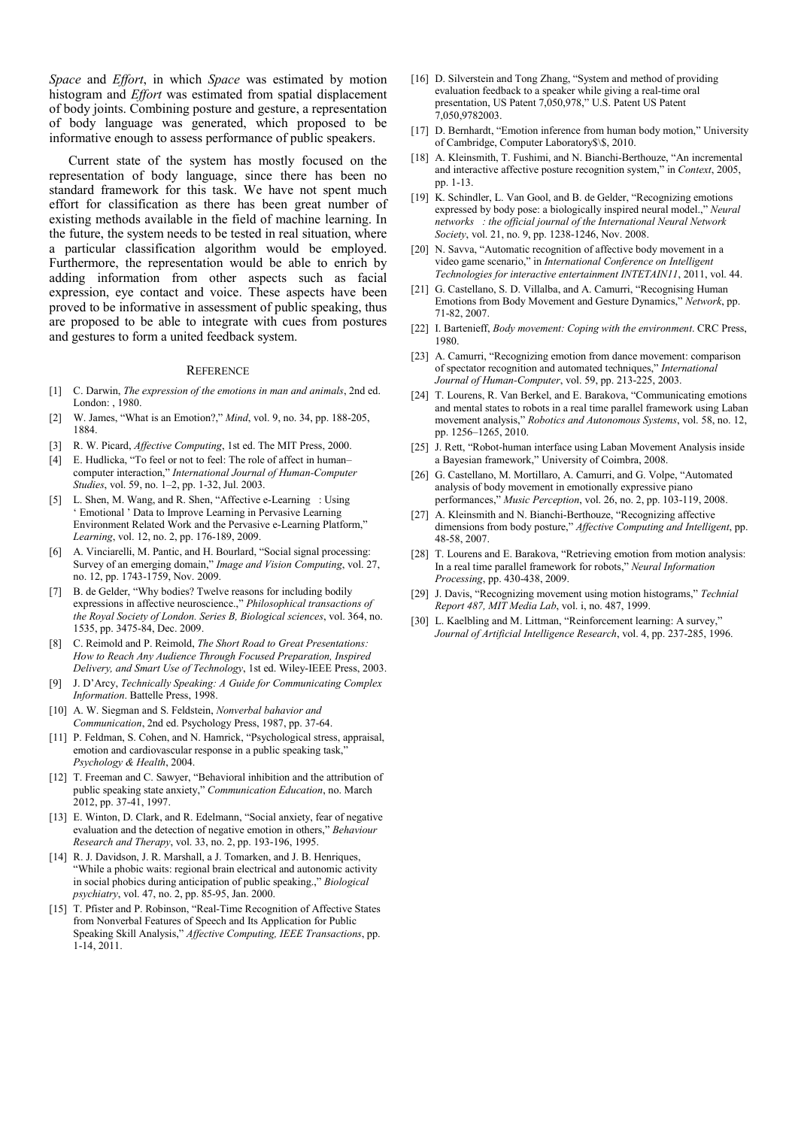*Space* and *Effort*, in which *Space* was estimated by motion histogram and *Effort* was estimated from spatial displacement of body joints. Combining posture and gesture, a representation of body language was generated, which proposed to be informative enough to assess performance of public speakers.

Current state of the system has mostly focused on the representation of body language, since there has been no standard framework for this task. We have not spent much effort for classification as there has been great number of existing methods available in the field of machine learning. In the future, the system needs to be tested in real situation, where a particular classification algorithm would be employed. Furthermore, the representation would be able to enrich by adding information from other aspects such as facial expression, eye contact and voice. These aspects have been proved to be informative in assessment of public speaking, thus are proposed to be able to integrate with cues from postures and gestures to form a united feedback system.

#### **REFERENCE**

- [1] C. Darwin, *The expression of the emotions in man and animals*, 2nd ed. London: , 1980.
- [2] W. James, "What is an Emotion?," *Mind*, vol. 9, no. 34, pp. 188-205, 1884.
- [3] R. W. Picard, *Affective Computing*, 1st ed. The MIT Press, 2000.
- [4] E. Hudlicka, "To feel or not to feel: The role of affect in human– computer interaction," *International Journal of Human-Computer Studies*, vol. 59, no. 1–2, pp. 1-32, Jul. 2003.
- [5] L. Shen, M. Wang, and R. Shen, "Affective e-Learning: Using ' Emotional ' Data to Improve Learning in Pervasive Learning Environment Related Work and the Pervasive e-Learning Platform," *Learning*, vol. 12, no. 2, pp. 176-189, 2009.
- [6] A. Vinciarelli, M. Pantic, and H. Bourlard, "Social signal processing: Survey of an emerging domain," *Image and Vision Computing*, vol. 27, no. 12, pp. 1743-1759, Nov. 2009.
- [7] B. de Gelder, "Why bodies? Twelve reasons for including bodily expressions in affective neuroscience.," *Philosophical transactions of the Royal Society of London. Series B, Biological sciences*, vol. 364, no. 1535, pp. 3475-84, Dec. 2009.
- [8] C. Reimold and P. Reimold, *The Short Road to Great Presentations: How to Reach Any Audience Through Focused Preparation, Inspired Delivery, and Smart Use of Technology*, 1st ed. Wiley-IEEE Press, 2003.
- [9] J. D'Arcy, *Technically Speaking: A Guide for Communicating Complex Information*. Battelle Press, 1998.
- [10] A. W. Siegman and S. Feldstein, *Nonverbal bahavior and Communication*, 2nd ed. Psychology Press, 1987, pp. 37-64.
- [11] P. Feldman, S. Cohen, and N. Hamrick, "Psychological stress, appraisal, emotion and cardiovascular response in a public speaking task," *Psychology & Health*, 2004.
- [12] T. Freeman and C. Sawyer, "Behavioral inhibition and the attribution of public speaking state anxiety," *Communication Education*, no. March 2012, pp. 37-41, 1997.
- [13] E. Winton, D. Clark, and R. Edelmann, "Social anxiety, fear of negative evaluation and the detection of negative emotion in others," *Behaviour Research and Therapy*, vol. 33, no. 2, pp. 193-196, 1995.
- [14] R. J. Davidson, J. R. Marshall, a J. Tomarken, and J. B. Henriques, "While a phobic waits: regional brain electrical and autonomic activity in social phobics during anticipation of public speaking.," *Biological psychiatry*, vol. 47, no. 2, pp. 85-95, Jan. 2000.
- [15] T. Pfister and P. Robinson, "Real-Time Recognition of Affective States from Nonverbal Features of Speech and Its Application for Public Speaking Skill Analysis," *Affective Computing, IEEE Transactions*, pp. 1-14, 2011.
- [16] D. Silverstein and Tong Zhang, "System and method of providing evaluation feedback to a speaker while giving a real-time oral presentation, US Patent 7,050,978," U.S. Patent US Patent 7,050,9782003.
- [17] D. Bernhardt, "Emotion inference from human body motion," University of Cambridge, Computer Laboratory\$\\$, 2010.
- [18] A. Kleinsmith, T. Fushimi, and N. Bianchi-Berthouze, "An incremental and interactive affective posture recognition system," in *Context*, 2005, pp. 1-13.
- [19] K. Schindler, L. Van Gool, and B. de Gelder, "Recognizing emotions expressed by body pose: a biologically inspired neural model.," *Neural networks: the official journal of the International Neural Network Society*, vol. 21, no. 9, pp. 1238-1246, Nov. 2008.
- [20] N. Savva, "Automatic recognition of affective body movement in a video game scenario," in *International Conference on Intelligent Technologies for interactive entertainment INTETAIN11*, 2011, vol. 44.
- [21] G. Castellano, S. D. Villalba, and A. Camurri, "Recognising Human Emotions from Body Movement and Gesture Dynamics," *Network*, pp. 71-82, 2007.
- [22] I. Bartenieff, *Body movement: Coping with the environment*. CRC Press, 1980.
- [23] A. Camurri, "Recognizing emotion from dance movement: comparison of spectator recognition and automated techniques," *International Journal of Human-Computer*, vol. 59, pp. 213-225, 2003.
- [24] T. Lourens, R. Van Berkel, and E. Barakova, "Communicating emotions and mental states to robots in a real time parallel framework using Laban movement analysis," *Robotics and Autonomous Systems*, vol. 58, no. 12, pp. 1256–1265, 2010.
- [25] J. Rett, "Robot-human interface using Laban Movement Analysis inside a Bayesian framework," University of Coimbra, 2008.
- [26] G. Castellano, M. Mortillaro, A. Camurri, and G. Volpe, "Automated analysis of body movement in emotionally expressive piano performances," *Music Perception*, vol. 26, no. 2, pp. 103-119, 2008.
- [27] A. Kleinsmith and N. Bianchi-Berthouze, "Recognizing affective dimensions from body posture," *Affective Computing and Intelligent*, pp. 48-58, 2007.
- [28] T. Lourens and E. Barakova, "Retrieving emotion from motion analysis: In a real time parallel framework for robots," *Neural Information Processing*, pp. 430-438, 2009.
- [29] J. Davis, "Recognizing movement using motion histograms," *Technial Report 487, MIT Media Lab*, vol. i, no. 487, 1999.
- [30] L. Kaelbling and M. Littman, "Reinforcement learning: A survey," *Journal of Artificial Intelligence Research*, vol. 4, pp. 237-285, 1996.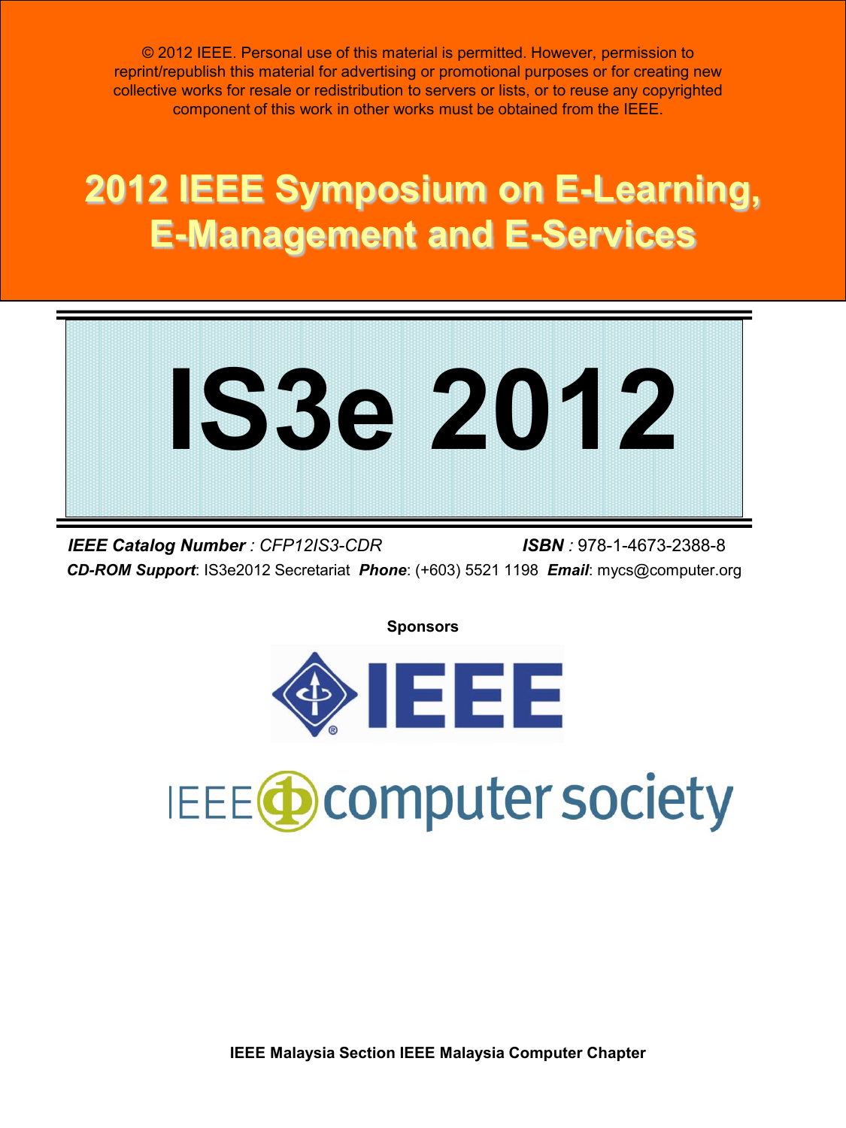© 2012 IEEE. Personal use of this material is permitted. However, permission to reprint/republish this material for advertising or promotional purposes or for creating new collective works for resale or redistribution to servers or lists, or to reuse any copyrighted component of this work in other works must be obtained from the IEEE.

## **2012 IEEE Symposium on E-Learning, E-Management and E-Services**



*IEEE Catalog Number : CFP12IS3-CDR ISBN :* 978-1-4673-2388-8 *CD-ROM Support*: IS3e2012 Secretariat*Phone*: (+603) 5521 1198 *Email*: mycs@computer.org

**Sponsors** 



# IEEE **COMPUTER SOCIETY**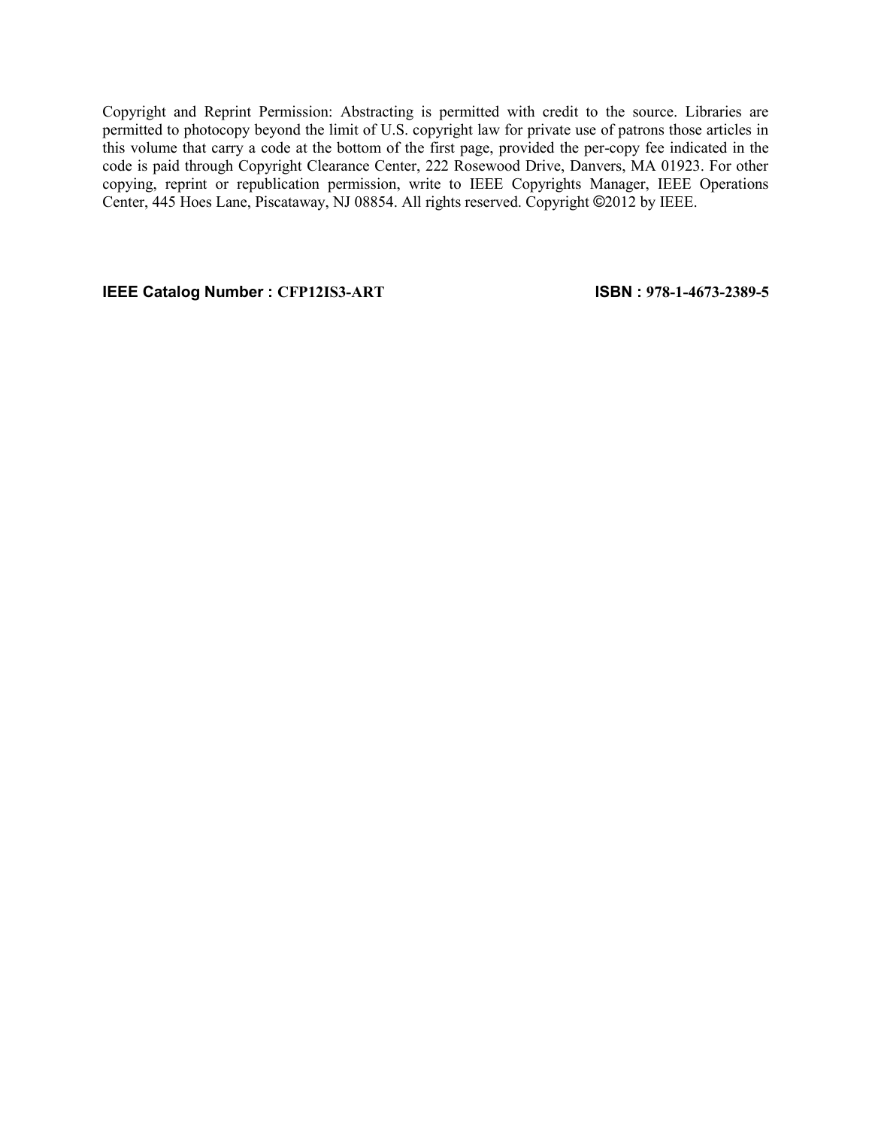Copyright and Reprint Permission: Abstracting is permitted with credit to the source. Libraries are permitted to photocopy beyond the limit of U.S. copyright law for private use of patrons those articles in this volume that carry a code at the bottom of the first page, provided the per-copy fee indicated in the code is paid through Copyright Clearance Center, 222 Rosewood Drive, Danvers, MA 01923. For other copying, reprint or republication permission, write to IEEE Copyrights Manager, IEEE Operations Center, 445 Hoes Lane, Piscataway, NJ 08854. All rights reserved. Copyright ©2012 by IEEE.

**IEEE Catalog Number : CFP12IS3-ART ISBN : 978-1-4673-2389-5**